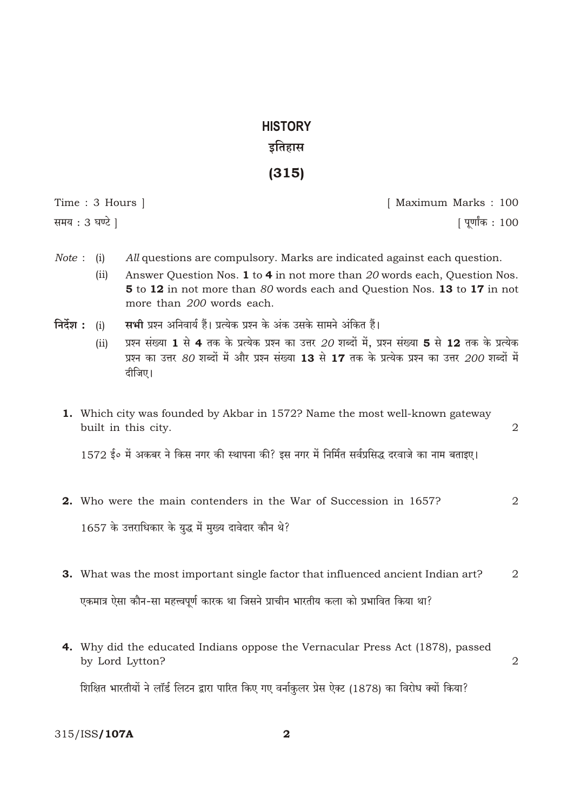# **HISTORY** इतिहास

# $(315)$

Time: 3 Hours ] समय: 3 घण्टे ]

[ Maximum Marks: 100 [ पूर्णांक : 100

2

- *Note* : (i) All questions are compulsory. Marks are indicated against each question.
	- Answer Question Nos. 1 to 4 in not more than 20 words each, Question Nos.  $(ii)$ 5 to 12 in not more than 80 words each and Question Nos. 13 to 17 in not more than 200 words each.
- निर्देश $:$  (i) सभी प्रश्न अनिवार्य हैं। प्रत्येक प्रश्न के अंक उसके सामने अंकित हैं।
	- प्रश्न संख्या 1 से 4 तक के प्रत्येक प्रश्न का उत्तर 20 शब्दों में, प्रश्न संख्या 5 से 12 तक के प्रत्येक  $(ii)$ प्रश्न का उत्तर 80 शब्दों में और प्रश्न संख्या 13 से 17 तक के प्रत्येक प्रश्न का उत्तर 200 शब्दों में दीजिए।
	- 1. Which city was founded by Akbar in 1572? Name the most well-known gateway built in this city.

1572 ई॰ में अकबर ने किस नगर की स्थापना की? इस नगर में निर्मित सर्वप्रसिद्ध दरवाजे का नाम बताइए।

2. Who were the main contenders in the War of Succession in 1657?  $\overline{2}$ 

1657 के उत्तराधिकार के युद्ध में मुख्य दावेदार कौन थे?

- 3. What was the most important single factor that influenced ancient Indian art?  $\overline{2}$ एकमात्र ऐसा कौन-सा महत्त्वपूर्ण कारक था जिसने प्राचीन भारतीय कला को प्रभावित किया था?
- 4. Why did the educated Indians oppose the Vernacular Press Act (1878), passed by Lord Lytton?  $\overline{2}$

शिक्षित भारतीयों ने लॉर्ड लिटन द्वारा पारित किए गए वर्नाकुलर प्रेस ऐक्ट (1878) का विरोध क्यों किया?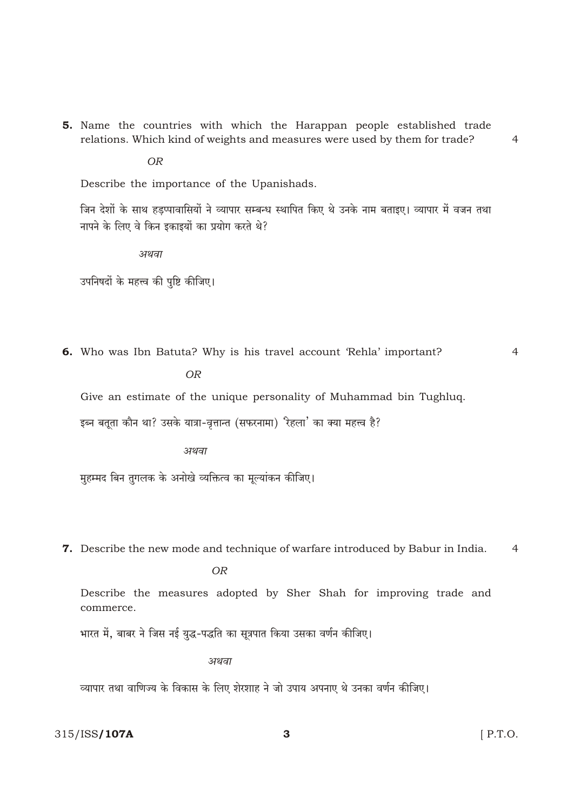5. Name the countries with which the Harappan people established trade relations. Which kind of weights and measures were used by them for trade?

**OR** 

Describe the importance of the Upanishads.

जिन देशों के साथ हडप्पावासियों ने व्यापार सम्बन्ध स्थापित किए थे उनके नाम बताइए। व्यापार में वजन तथा नापने के लिए वे किन इकाइयों का प्रयोग करते थे?

अथवा

उपनिषदों के महत्त्व की पुष्टि कीजिए।

6. Who was Ibn Batuta? Why is his travel account 'Rehla' important?

 $\overline{4}$ 

 $\overline{4}$ 

 $OR$ 

Give an estimate of the unique personality of Muhammad bin Tughluq.

इब्न बतूता कौन था? उसके यात्रा-वृत्तान्त (सफरनामा) रिहला' का क्या महत्त्व है?

अथवा

मुहम्मद बिन तुगलक के अनोखे व्यक्तित्व का मूल्यांकन कीजिए।

7. Describe the new mode and technique of warfare introduced by Babur in India.  $\overline{4}$ 

**OR** 

Describe the measures adopted by Sher Shah for improving trade and commerce.

भारत में, बाबर ने जिस नई युद्ध-पद्धति का सूत्रपात किया उसका वर्णन कीजिए।

अथवा

व्यापार तथा वाणिज्य के विकास के लिए शेरशाह ने जो उपाय अपनाए थे उनका वर्णन कीजिए।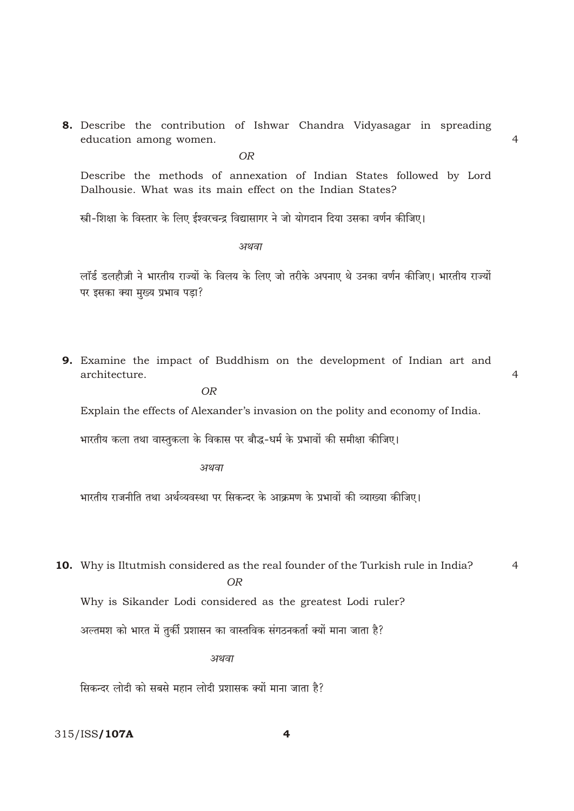8. Describe the contribution of Ishwar Chandra Vidyasagar in spreading education among women.

**OR** 

Describe the methods of annexation of Indian States followed by Lord Dalhousie. What was its main effect on the Indian States?

स्त्री-शिक्षा के विस्तार के लिए ईश्वरचन्द्र विद्यासागर ने जो योगदान दिया उसका वर्णन कीजिए।

अथवा

लॉर्ड डलहौज़ी ने भारतीय राज्यों के विलय के लिए जो तरीके अपनाए थे उनका वर्णन कीजिए। भारतीय राज्यों पर इसका क्या मुख्य प्रभाव पड़ा?

9. Examine the impact of Buddhism on the development of Indian art and architecture.

 $\overline{4}$ 

 $\overline{4}$ 

**OR** 

Explain the effects of Alexander's invasion on the polity and economy of India.

भारतीय कला तथा वास्तुकला के विकास पर बौद्ध-धर्म के प्रभावों की समीक्षा कीजिए।

अथवा

भारतीय राजनीति तथा अर्थव्यवस्था पर सिकन्दर के आक्रमण के प्रभावों की व्याख्या कीजिए।

10. Why is Iltutmish considered as the real founder of the Turkish rule in India?  $\overline{4}$  $OR$ 

Why is Sikander Lodi considered as the greatest Lodi ruler?

अल्तमश को भारत में तुर्की प्रशासन का वास्तविक संगठनकर्ता क्यों माना जाता है?

अथवा

सिकन्दर लोदी को सबसे महान लोदी प्रशासक क्यों माना जाता है?

 $\overline{\mathbf{4}}$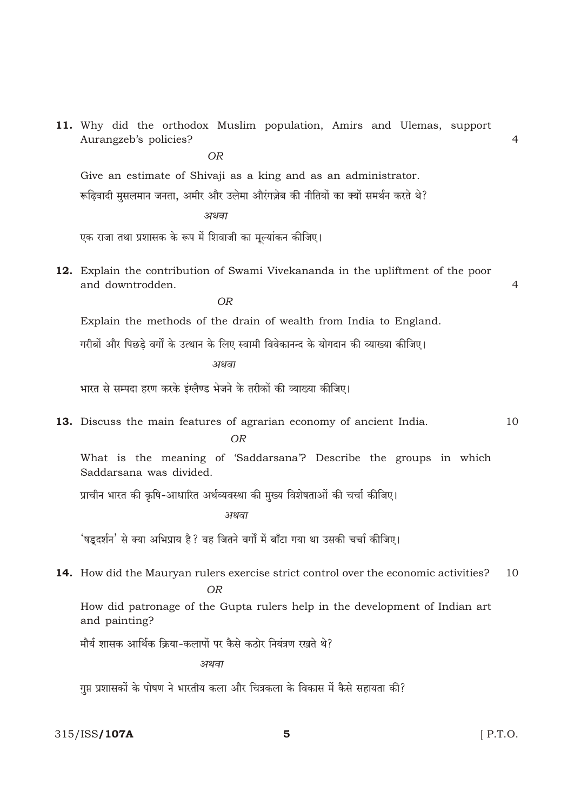11. Why did the orthodox Muslim population, Amirs and Ulemas, support Aurangzeb's policies?  $\overline{4}$  $OR$ Give an estimate of Shivaji as a king and as an administrator. रूढिवादी मुसलमान जनता, अमीर और उलेमा औरंगज़ेब की नीतियों का क्यों समर्थन करते थे? अथवा एक राजा तथा प्रशासक के रूप में शिवाजी का मूल्यांकन कीजिए। 12. Explain the contribution of Swami Vivekananda in the upliftment of the poor and downtrodden  $\overline{4}$  $OR$ Explain the methods of the drain of wealth from India to England. गरीबों और पिछडे वर्गों के उत्थान के लिए स्वामी विवेकानन्द के योगदान की व्याख्या कीजिए। अथवा भारत से सम्पदा हरण करके इंग्लैण्ड भेजने के तरीकों की व्याख्या कीजिए। 13. Discuss the main features of agrarian economy of ancient India. 10  $OR$ What is the meaning of 'Saddarsana'? Describe the groups in which Saddarsana was divided. प्राचीन भारत की कृषि-आधारित अर्थव्यवस्था की मुख्य विशेषताओं की चर्चा कीजिए। अथवा 'षड्दर्शन' से क्या अभिप्राय है ? वह जितने वर्गों में बाँटा गया था उसकी चर्चा कीजिए। **14.** How did the Mauryan rulers exercise strict control over the economic activities?  $10$  $OR$ How did patronage of the Gupta rulers help in the development of Indian art and painting? मौर्य शासक आर्थिक क्रिया-कलापों पर कैसे कठोर नियंत्रण रखते थे? अथवा गुप्त प्रशासकों के पोषण ने भारतीय कला और चित्रकला के विकास में कैसे सहायता की?

315/ISS/107A

5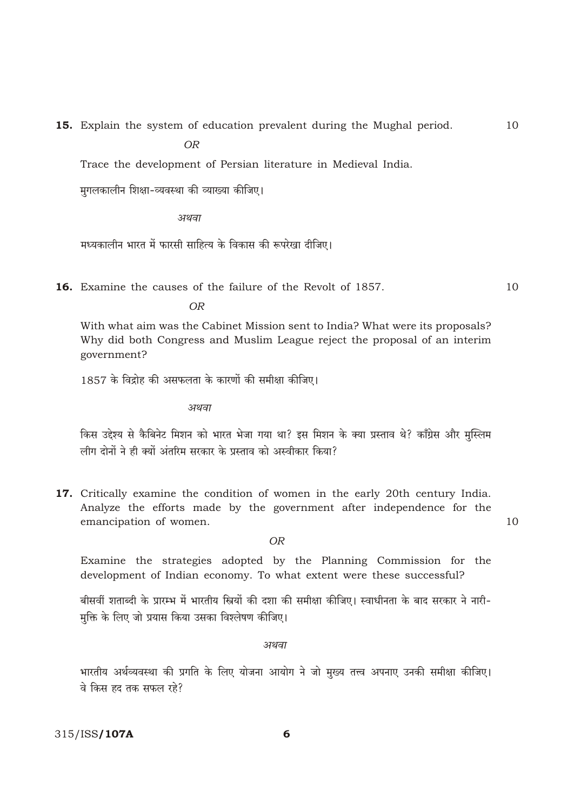15. Explain the system of education prevalent during the Mughal period.

 $\overline{OR}$ 

Trace the development of Persian literature in Medieval India.

मुगलकालीन शिक्षा-व्यवस्था की व्याख्या कीजिए।

अथवा

मध्यकालीन भारत में फारसी साहित्य के विकास की रूपरेखा दीजिए।

16. Examine the causes of the failure of the Revolt of 1857.

 $\overline{OR}$ 

With what aim was the Cabinet Mission sent to India? What were its proposals? Why did both Congress and Muslim League reject the proposal of an interim government?

1857 के विद्रोह की असफलता के कारणों की समीक्षा कीजिए।

अथवा

किस उद्देश्य से कैबिनेट मिशन को भारत भेजा गया था? इस मिशन के क्या प्रस्ताव थे? काँग्रेस और मुस्लिम लीग दोनों ने ही क्यों अंतरिम सरकार के पस्ताव को अस्वीकार किया?

17. Critically examine the condition of women in the early 20th century India. Analyze the efforts made by the government after independence for the emancipation of women.

O<sub>R</sub>

Examine the strategies adopted by the Planning Commission for the development of Indian economy. To what extent were these successful?

बीसवीं शताब्दी के प्रारम्भ में भारतीय स्त्रियों की दशा की समीक्षा कीजिए। स्वाधीनता के बाद सरकार ने नारी-मक्ति के लिए जो प्रयास किया उसका विश्लेषण कीजिए।

अथवा

भारतीय अर्थव्यवस्था की प्रगति के लिए योजना आयोग ने जो मुख्य तत्त्व अपनाए उनकी समीक्षा कीजिए। वे किस हद तक सफल रहे?

 $10$ 

 $10$ 

 $10$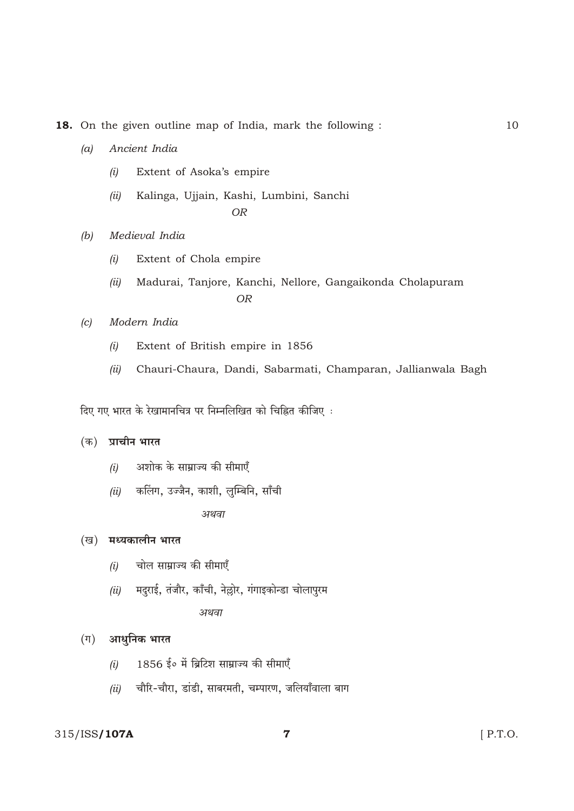18. On the given outline map of India, mark the following :

- Ancient India  $(a)$ 
	- $(i)$ Extent of Asoka's empire
	- Kalinga, Ujjain, Kashi, Lumbini, Sanchi  $(ii)$ **OR**
- $(b)$ Medieval India
	- Extent of Chola empire  $(i)$
	- Madurai, Tanjore, Kanchi, Nellore, Gangaikonda Cholapuram  $(ii)$ **OR**
- Modern India  $|c|$ 
	- Extent of British empire in 1856  $(i)$
	- Chauri-Chaura, Dandi, Sabarmati, Champaran, Jallianwala Bagh  $(ii)$

दिए गए भारत के रेखामानचित्र पर निम्नलिखित को चिह्नित कीजिए :

## (क) प्राचीन भारत

- अशोक के साम्राज्य की सीमाएँ  $(i)$
- कलिंग, उज्जैन, काशी, लुम्बिनि, साँची  $(ii)$ अथवा

#### (ख) मध्यकालीन भारत

- चोल साम्राज्य की सीमाएँ  $(i)$
- (ii) मदुराई, तंजौर, काँची, नेल्लोर, गंगाइकोन्डा चोलापुरम

अथवा

## $(1)$  आधुनिक भारत

- 1856 ई॰ में ब्रिटिश साम्राज्य की सीमाएँ  $(i)$
- चौरि-चौरा, डांडी, साबरमती, चम्पारण, जलियाँवाला बाग  $(ii)$

# 315/ISS/107A